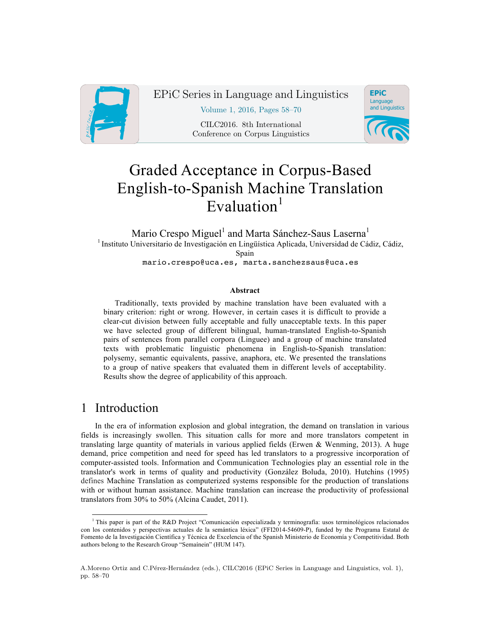

EPiC Series in Language and Linguistics

Volume 1, 2016, Pages 58–70

CILC2016. 8th International Conference on Corpus Linguistics



# Graded Acceptance in Corpus-Based English-to-Spanish Machine Translation Evaluation $1$

Mario Crespo Miguel<sup>1</sup> and Marta Sánchez-Saus Laserna<sup>1</sup> 1 Instituto Universitario de Investigación en Lingüística Aplicada, Universidad de Cádiz, Cádiz, Spain mario.crespo@uca.es, marta.sanchezsaus@uca.es

#### **Abstract**

Traditionally, texts provided by machine translation have been evaluated with a binary criterion: right or wrong. However, in certain cases it is difficult to provide a clear-cut division between fully acceptable and fully unacceptable texts. In this paper we have selected group of different bilingual, human-translated English-to-Spanish pairs of sentences from parallel corpora (Linguee) and a group of machine translated texts with problematic linguistic phenomena in English-to-Spanish translation: polysemy, semantic equivalents, passive, anaphora, etc. We presented the translations to a group of native speakers that evaluated them in different levels of acceptability. Results show the degree of applicability of this approach.

## 1 Introduction

In the era of information explosion and global integration, the demand on translation in various fields is increasingly swollen. This situation calls for more and more translators competent in translating large quantity of materials in various applied fields (Erwen & Wenming, 2013). A huge demand, price competition and need for speed has led translators to a progressive incorporation of computer-assisted tools. Information and Communication Technologies play an essential role in the translator's work in terms of quality and productivity (González Boluda, 2010). Hutchins (1995) defines Machine Translation as computerized systems responsible for the production of translations with or without human assistance. Machine translation can increase the productivity of professional translators from 30% to 50% (Alcina Caudet, 2011).

 <sup>1</sup> This paper is part of the R&D Project "Comunicación especializada y terminografía: usos terminológicos relacionados con los contenidos y perspectivas actuales de la semántica léxica" (FFI2014-54609-P), funded by the Programa Estatal de Fomento de la Investigación Científica y Técnica de Excelencia of the Spanish Ministerio de Economía y Competitividad. Both authors belong to the Research Group "Semaínein" (HUM 147).

A.Moreno Ortiz and C.Pérez-Hernández (eds.), CILC2016 (EPiC Series in Language and Linguistics, vol. 1), pp. 58–70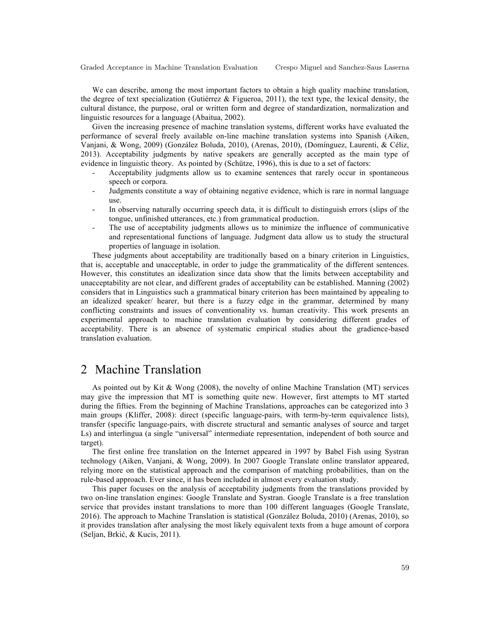We can describe, among the most important factors to obtain a high quality machine translation, the degree of text specialization (Gutiérrez & Figueroa, 2011), the text type, the lexical density, the cultural distance, the purpose, oral or written form and degree of standardization, normalization and linguistic resources for a language (Abaitua, 2002).

Given the increasing presence of machine translation systems, different works have evaluated the performance of several freely available on-line machine translation systems into Spanish (Aiken, Vanjani, & Wong, 2009) (González Boluda, 2010), (Arenas, 2010), (Domínguez, Laurenti, & Céliz, 2013). Acceptability judgments by native speakers are generally accepted as the main type of evidence in linguistic theory. As pointed by (Schütze, 1996), this is due to a set of factors:

- Acceptability judgments allow us to examine sentences that rarely occur in spontaneous speech or corpora.
- Judgments constitute a way of obtaining negative evidence, which is rare in normal language use.
- In observing naturally occurring speech data, it is difficult to distinguish errors (slips of the tongue, unfinished utterances, etc.) from grammatical production.
- The use of acceptability judgments allows us to minimize the influence of communicative and representational functions of language. Judgment data allow us to study the structural properties of language in isolation.

These judgments about acceptability are traditionally based on a binary criterion in Linguistics, that is, acceptable and unacceptable, in order to judge the grammaticality of the different sentences. However, this constitutes an idealization since data show that the limits between acceptability and unacceptability are not clear, and different grades of acceptability can be established. Manning (2002) considers that in Linguistics such a grammatical binary criterion has been maintained by appealing to an idealized speaker/ hearer, but there is a fuzzy edge in the grammar, determined by many conflicting constraints and issues of conventionality vs. human creativity. This work presents an experimental approach to machine translation evaluation by considering different grades of acceptability. There is an absence of systematic empirical studies about the gradience-based translation evaluation.

## 2 Machine Translation

As pointed out by Kit & Wong (2008), the novelty of online Machine Translation (MT) services may give the impression that MT is something quite new. However, first attempts to MT started during the fifties. From the beginning of Machine Translations, approaches can be categorized into 3 main groups (Kliffer, 2008): direct (specific language-pairs, with term-by-term equivalence lists), transfer (specific language-pairs, with discrete structural and semantic analyses of source and target Ls) and interlingua (a single "universal" intermediate representation, independent of both source and target).

The first online free translation on the Internet appeared in 1997 by Babel Fish using Systran technology (Aiken, Vanjani, & Wong, 2009). In 2007 Google Translate online translator appeared, relying more on the statistical approach and the comparison of matching probabilities, than on the rule-based approach. Ever since, it has been included in almost every evaluation study.

This paper focuses on the analysis of acceptability judgments from the translations provided by two on-line translation engines: Google Translate and Systran. Google Translate is a free translation service that provides instant translations to more than 100 different languages (Google Translate, 2016). The approach to Machine Translation is statistical (González Boluda, 2010) (Arenas, 2010), so it provides translation after analysing the most likely equivalent texts from a huge amount of corpora (Seljan, Brkić, & Kucis, 2011).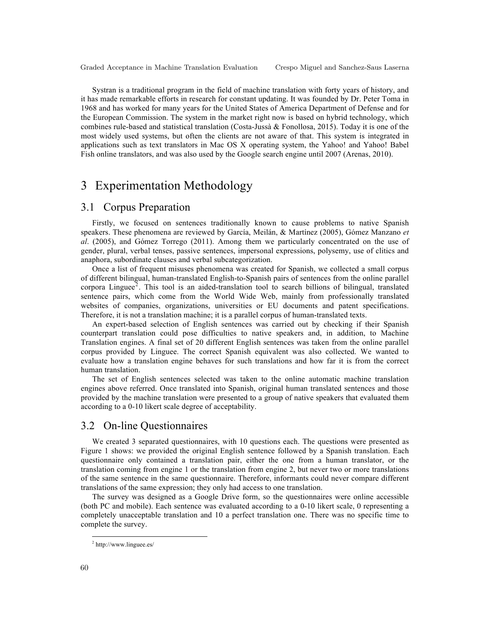Systran is a traditional program in the field of machine translation with forty years of history, and it has made remarkable efforts in research for constant updating. It was founded by Dr. Peter Toma in 1968 and has worked for many years for the United States of America Department of Defense and for the European Commission. The system in the market right now is based on hybrid technology, which combines rule-based and statistical translation (Costa-Jussà & Fonollosa, 2015). Today it is one of the most widely used systems, but often the clients are not aware of that. This system is integrated in applications such as text translators in Mac OS X operating system, the Yahoo! and Yahoo! Babel Fish online translators, and was also used by the Google search engine until 2007 (Arenas, 2010).

# 3 Experimentation Methodology

#### 3.1 Corpus Preparation

Firstly, we focused on sentences traditionally known to cause problems to native Spanish speakers. These phenomena are reviewed by García, Meilán, & Martínez (2005), Gómez Manzano *et al*. (2005), and Gómez Torrego (2011). Among them we particularly concentrated on the use of gender, plural, verbal tenses, passive sentences, impersonal expressions, polysemy, use of clitics and anaphora, subordinate clauses and verbal subcategorization.

Once a list of frequent misuses phenomena was created for Spanish, we collected a small corpus of different bilingual, human-translated English-to-Spanish pairs of sentences from the online parallel corpora Linguee<sup>2</sup>. This tool is an aided-translation tool to search billions of bilingual, translated sentence pairs, which come from the World Wide Web, mainly from professionally translated websites of companies, organizations, universities or EU documents and patent specifications. Therefore, it is not a translation machine; it is a parallel corpus of human-translated texts.

An expert-based selection of English sentences was carried out by checking if their Spanish counterpart translation could pose difficulties to native speakers and, in addition, to Machine Translation engines. A final set of 20 different English sentences was taken from the online parallel corpus provided by Linguee. The correct Spanish equivalent was also collected. We wanted to evaluate how a translation engine behaves for such translations and how far it is from the correct human translation.

The set of English sentences selected was taken to the online automatic machine translation engines above referred. Once translated into Spanish, original human translated sentences and those provided by the machine translation were presented to a group of native speakers that evaluated them according to a 0-10 likert scale degree of acceptability.

#### 3.2 On-line Questionnaires

We created 3 separated questionnaires, with 10 questions each. The questions were presented as Figure 1 shows: we provided the original English sentence followed by a Spanish translation. Each questionnaire only contained a translation pair, either the one from a human translator, or the translation coming from engine 1 or the translation from engine 2, but never two or more translations of the same sentence in the same questionnaire. Therefore, informants could never compare different translations of the same expression; they only had access to one translation.

The survey was designed as a Google Drive form, so the questionnaires were online accessible (both PC and mobile). Each sentence was evaluated according to a 0-10 likert scale, 0 representing a completely unacceptable translation and 10 a perfect translation one. There was no specific time to complete the survey.

 <sup>2</sup> http://www.linguee.es/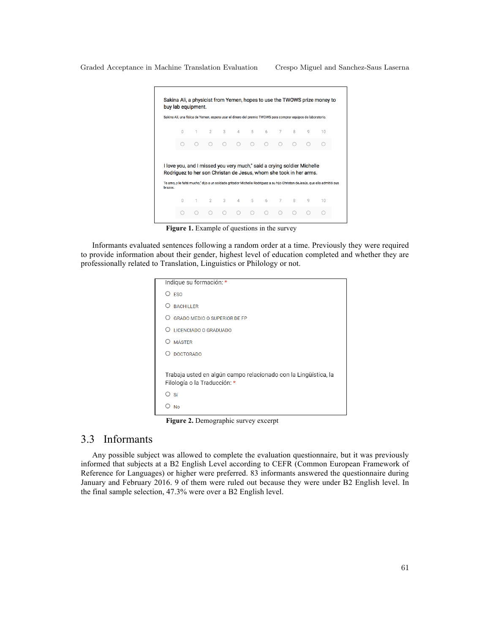|         |          |       |            |        |               |        |   |           |              | Sakina Ali, una física de Yemen, espera usar el dinero del premio TWOWS para comprar equipos de laboratorio.                                                                                                                                                                |    |
|---------|----------|-------|------------|--------|---------------|--------|---|-----------|--------------|-----------------------------------------------------------------------------------------------------------------------------------------------------------------------------------------------------------------------------------------------------------------------------|----|
|         | $\Omega$ | $1 -$ |            |        | 2 3 4 5 6 7   |        |   |           | $\mathbf{R}$ | q                                                                                                                                                                                                                                                                           | 10 |
|         |          |       | $\bigcirc$ | $\cap$ | ∩             | $\cap$ | ∩ | $\bigcap$ |              |                                                                                                                                                                                                                                                                             |    |
|         |          |       |            |        |               |        |   |           |              |                                                                                                                                                                                                                                                                             |    |
|         |          |       |            |        |               |        |   |           |              | I love you, and I missed you very much," said a crying soldier Michelle<br>Rodriguez to her son Christan de Jesus, whom she took in her arms.<br>Te amo, y le falté mucho," dijo a un soldado gritador Michelle Rodriguez a su hijo Christan de Jesús, que ella admitió sus |    |
| brazos. | n        | $1 -$ |            |        | 2 3 4 5 6 7 8 |        |   |           |              | q                                                                                                                                                                                                                                                                           | 10 |

Figure 1. Example of questions in the survey

Informants evaluated sentences following a random order at a time. Previously they were required to provide information about their gender, highest level of education completed and whether they are professionally related to Translation, Linguistics or Philology or not.

| Indique su formación: *                                                                         |
|-------------------------------------------------------------------------------------------------|
| <b>ESO</b><br>◯                                                                                 |
| <b>BACHILLER</b>                                                                                |
| <b>GRADO MEDIO O SUPERIOR DE FP</b>                                                             |
| LICENCIADO O GRADUADO                                                                           |
| <b>MÁSTER</b><br>⊖                                                                              |
| <b>DOCTORADO</b>                                                                                |
| Trabaja usted en algún campo relacionado con la Lingüística, la<br>Filología o la Traducción: * |
| D sí                                                                                            |
| No                                                                                              |
|                                                                                                 |

**Figure 2.** Demographic survey excerpt

#### 3.3 Informants

Any possible subject was allowed to complete the evaluation questionnaire, but it was previously informed that subjects at a B2 English Level according to CEFR (Common European Framework of Reference for Languages) or higher were preferred. 83 informants answered the questionnaire during January and February 2016. 9 of them were ruled out because they were under B2 English level. In the final sample selection, 47.3% were over a B2 English level.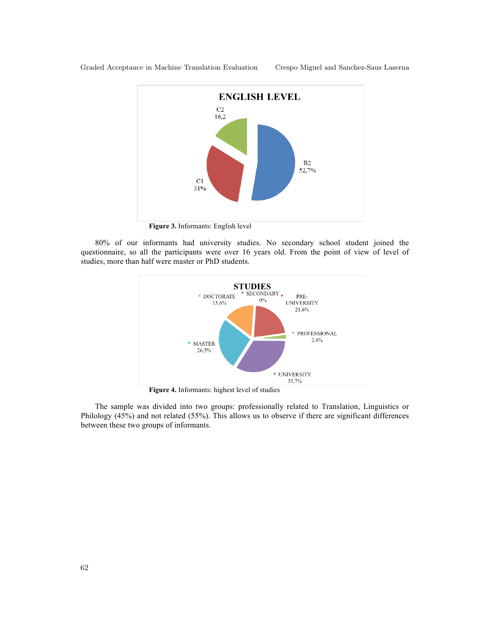

**Figure 3.** Informants: English level

80% of our informants had university studies. No secondary school student joined the questionnaire, so all the participants were over 16 years old. From the point of view of level of studies, more than half were master or PhD students.



**Figure 4.** Informants: highest level of studies

The sample was divided into two groups: professionally related to Translation, Linguistics or Philology (45%) and not related (55%). This allows us to observe if there are significant differences between these two groups of informants.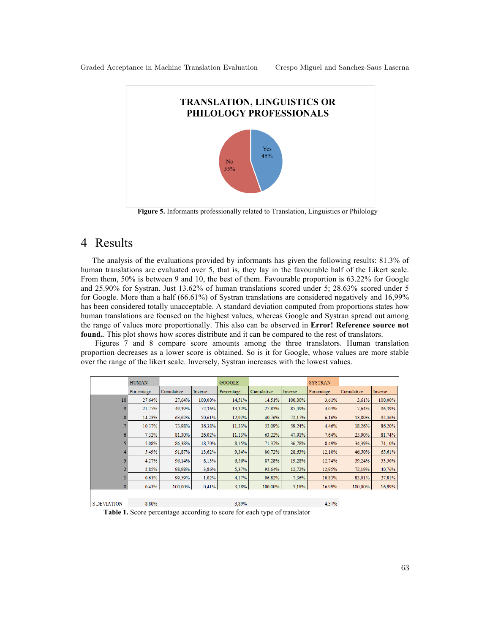

**Figure 5.** Informants professionally related to Translation, Linguistics or Philology

## 4 Results

The analysis of the evaluations provided by informants has given the following results: 81.3% of human translations are evaluated over 5, that is, they lay in the favourable half of the Likert scale. From them, 50% is between 9 and 10, the best of them. Favourable proportion is 63.22% for Google and 25.90% for Systran. Just 13.62% of human translations scored under 5; 28.63% scored under 5 for Google. More than a half (66.61%) of Systran translations are considered negatively and 16,99% has been considered totally unacceptable. A standard deviation computed from proportions states how human translations are focused on the highest values, whereas Google and Systran spread out among the range of values more proportionally. This also can be observed in **Error! Reference source not**  found.. This plot shows how scores distribute and it can be compared to the rest of translators.

Figures 7 and 8 compare score amounts among the three translators. Human translation proportion decreases as a lower score is obtained. So is it for Google, whose values are more stable over the range of the likert scale. Inversely, Systran increases with the lowest values.

|                    | <b>HUMAN</b> |            |         | <b>GOOGLE</b> |            |         | <b>SYSTRAN</b> |            |         |
|--------------------|--------------|------------|---------|---------------|------------|---------|----------------|------------|---------|
|                    | Porcentage   | Cumulative | Inverse | Porcentage    | Cumulative | Inverse | Porcentage     | Cumulative | Inverse |
| 10                 | 27,64%       | 27.64%     | 100,00% | 14.51%        | 14.51%     | 100,00% | 3.61%          | 3.61%      | 100.00% |
| 9                  | 21,75%       | 49,39%     | 72.36%  | 13,32%        | 27.83%     | 85.49%  | 4.03%          | 7.64%      | 96,39%  |
|                    | 14,23%       | 63,62%     | 50.61%  | 12,92%        | 40.76%     | 72,17%  | 6.16%          | 13,80%     | 92,36%  |
|                    | 10.37%       | 73.98%     | 36.38%  | 11,33%        | 52.09%     | 59,24%  | 4.46%          | 18.26%     | 86,20%  |
|                    | 7,32%        | 81.30%     | 26.02%  | 11,13%        | 63,22%     | 47,91%  | 7.64%          | 25,90%     | 81,74%  |
|                    | 5.08%        | 86,38%     | 18.70%  | 8,15%         | 71.37%     | 36,78%  | 8.49%          | 34.39%     | 74,10%  |
|                    | 5,49%        | 91,87%     | 13.62%  | 9,34%         | 80,72%     | 28,63%  | 12,10%         | 46,50%     | 65,61%  |
|                    | 4,27%        | 96,14%     | 8,13%   | 6,56%         | 87,28%     | 19,28%  | 12.74%         | 59.24%     | 53,50%  |
|                    | 2,85%        | 98.98%     | 3,86%   | 5,37%         | 92,64%     | 12,72%  | 12.95%         | 72,19%     | 40,76%  |
|                    | 0.61%        | 99,59%     | 1.02%   | 4.17%         | 96.82%     | 7.36%   | 10.83%         | 83,01%     | 27,81%  |
|                    | 0,41%        | 100,00%    | 0.41%   | 3,18%         | 100,00%    | 3,18%   | 16.99%         | 100,00%    | 16,99%  |
|                    |              |            |         |               |            |         |                |            |         |
| <b>S DEVIATION</b> | 8.80%        |            |         | 3.89%         |            |         | 4.37%          |            |         |

**Table 1.** Score percentage according to score for each type of translator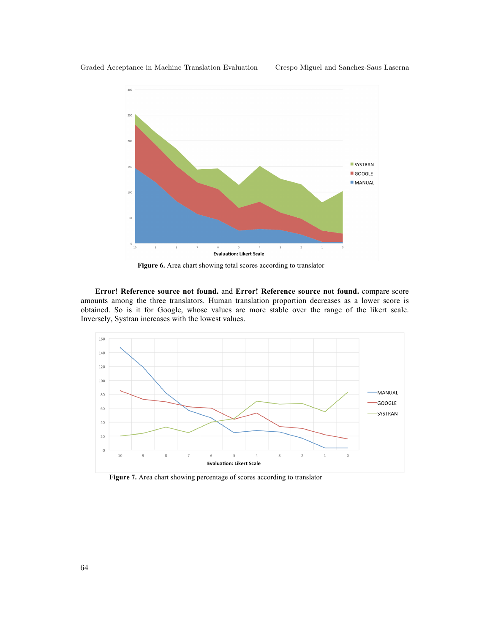

**Figure 6.** Area chart showing total scores according to translator

**Error! Reference source not found.** and **Error! Reference source not found.** compare score amounts among the three translators. Human translation proportion decreases as a lower score is obtained. So is it for Google, whose values are more stable over the range of the likert scale. Inversely, Systran increases with the lowest values.



**Figure 7.** Area chart showing percentage of scores according to translator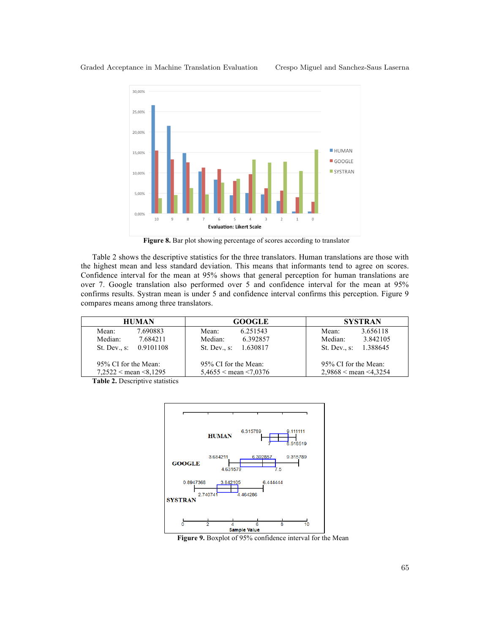

Figure 8. Bar plot showing percentage of scores according to translator

Table 2 shows the descriptive statistics for the three translators. Human translations are those with the highest mean and less standard deviation. This means that informants tend to agree on scores. Confidence interval for the mean at 95% shows that general perception for human translations are over 7. Google translation also performed over 5 and confidence interval for the mean at 95% confirms results. Systran mean is under 5 and confidence interval confirms this perception. Figure 9 compares means among three translators.

| <b>HUMAN</b>                  | <b>GOOGLE</b>            | <b>SYSTRAN</b>                |  |  |
|-------------------------------|--------------------------|-------------------------------|--|--|
| 7.690883<br>Mean:             | 6.251543<br>Mean:        | 3.656118<br>Mean:             |  |  |
| Median:<br>7.684211           | 6.392857<br>Median:      | Median:<br>3.842105           |  |  |
| St. Dev., s: 0.9101108        | St. Dev. s.<br>1.630817  | 1.388645<br>St. Dev. s.       |  |  |
| 95% CI for the Mean:          | 95% CI for the Mean:     | 95% CI for the Mean:          |  |  |
| $7,2522 <$ mean $\leq 8,1295$ | $5,4655$ < mean < 7,0376 | $2,9868 <$ mean $\leq 4,3254$ |  |  |

**Table 2.** Descriptive statistics



**Figure 9.** Boxplot of 95% confidence interval for the Mean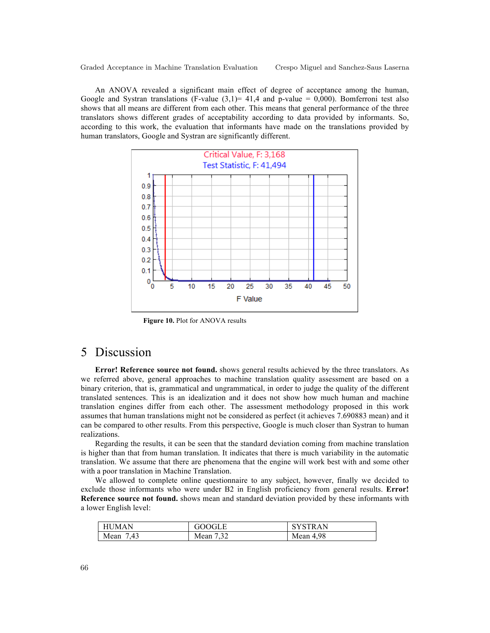An ANOVA revealed a significant main effect of degree of acceptance among the human, Google and Systran translations (F-value  $(3,1)$ = 41,4 and p-value = 0,000). Bomferroni test also shows that all means are different from each other. This means that general performance of the three translators shows different grades of acceptability according to data provided by informants. So, according to this work, the evaluation that informants have made on the translations provided by human translators, Google and Systran are significantly different.



**Figure 10.** Plot for ANOVA results

#### 5 Discussion

**Error! Reference source not found.** shows general results achieved by the three translators. As we referred above, general approaches to machine translation quality assessment are based on a binary criterion, that is, grammatical and ungrammatical, in order to judge the quality of the different translated sentences. This is an idealization and it does not show how much human and machine translation engines differ from each other. The assessment methodology proposed in this work assumes that human translations might not be considered as perfect (it achieves 7.690883 mean) and it can be compared to other results. From this perspective, Google is much closer than Systran to human realizations.

Regarding the results, it can be seen that the standard deviation coming from machine translation is higher than that from human translation. It indicates that there is much variability in the automatic translation. We assume that there are phenomena that the engine will work best with and some other with a poor translation in Machine Translation.

We allowed to complete online questionnaire to any subject, however, finally we decided to exclude those informants who were under B2 in English proficiency from general results. **Error! Reference source not found.** shows mean and standard deviation provided by these informants with a lower English level:

| <b>HUMAN</b> | GOOGLE           | <b>SYSTRAN</b> |
|--------------|------------------|----------------|
| '.43<br>Mean | 7 32<br>Mean<br> | Mean $4.98$    |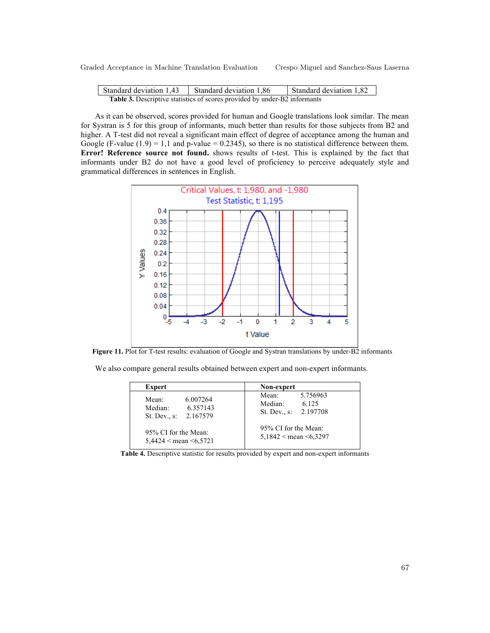| Standard deviation 1,43                                                          | Standard deviation 1,86 | Standard deviation 1,82 |  |  |
|----------------------------------------------------------------------------------|-------------------------|-------------------------|--|--|
| <b>Table 3.</b> Descriptive statistics of scores provided by under-B2 informants |                         |                         |  |  |

As it can be observed, scores provided for human and Google translations look similar. The mean for Systran is 5 for this group of informants, much better than results for those subjects from B2 and higher. A T-test did not reveal a significant main effect of degree of acceptance among the human and Google (F-value  $(1.9) = 1.1$  and p-value = 0.2345), so there is no statistical difference between them. **Error! Reference source not found.** shows results of t-test. This is explained by the fact that informants under B2 do not have a good level of proficiency to perceive adequately style and grammatical differences in sentences in English.



**Figure 11.** Plot for T-test results: evaluation of Google and Systran translations by under-B2 informants

We also compare general results obtained between expert and non-expert informants.

| Expert                                                                              | Non-expert                                                       |
|-------------------------------------------------------------------------------------|------------------------------------------------------------------|
| 6.007264<br>Mean:<br>6.357143<br>Median <sup>-</sup><br>2.167579<br>St. Dev., $s$ : | 5.756963<br>Mean:<br>Median:<br>6 1 2 5<br>St. Dev., s: 2.197708 |
| 95% CI for the Mean:<br>$5,4424 <$ mean $\leq 6,5721$                               | 95% CI for the Mean:<br>$5,1842 <$ mean $\leq 6,3297$            |

**Table 4.** Descriptive statistic for results provided by expert and non-expert informants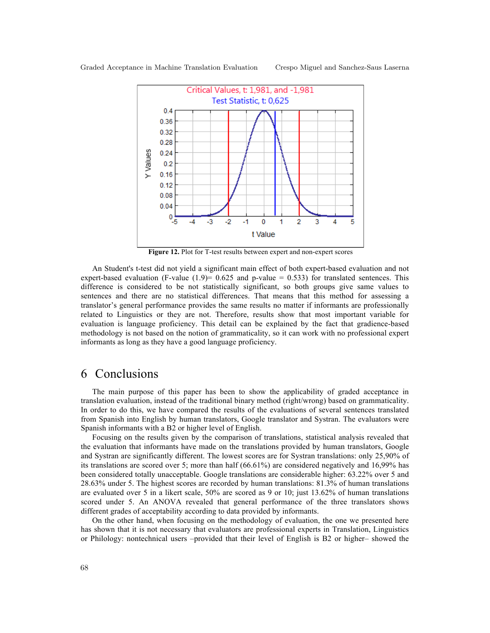

**Figure 12.** Plot for T-test results between expert and non-expert scores

An Student's t-test did not yield a significant main effect of both expert-based evaluation and not expert-based evaluation (F-value  $(1.9)$ = 0.625 and p-value = 0.533) for translated sentences. This difference is considered to be not statistically significant, so both groups give same values to sentences and there are no statistical differences. That means that this method for assessing a translator's general performance provides the same results no matter if informants are professionally related to Linguistics or they are not. Therefore, results show that most important variable for evaluation is language proficiency. This detail can be explained by the fact that gradience-based methodology is not based on the notion of grammaticality, so it can work with no professional expert informants as long as they have a good language proficiency.

#### 6 Conclusions

The main purpose of this paper has been to show the applicability of graded acceptance in translation evaluation, instead of the traditional binary method (right/wrong) based on grammaticality. In order to do this, we have compared the results of the evaluations of several sentences translated from Spanish into English by human translators, Google translator and Systran. The evaluators were Spanish informants with a B2 or higher level of English.

Focusing on the results given by the comparison of translations, statistical analysis revealed that the evaluation that informants have made on the translations provided by human translators, Google and Systran are significantly different. The lowest scores are for Systran translations: only 25,90% of its translations are scored over 5; more than half (66.61%) are considered negatively and 16,99% has been considered totally unacceptable. Google translations are considerable higher: 63.22% over 5 and 28.63% under 5. The highest scores are recorded by human translations: 81.3% of human translations are evaluated over 5 in a likert scale, 50% are scored as 9 or 10; just 13.62% of human translations scored under 5. An ANOVA revealed that general performance of the three translators shows different grades of acceptability according to data provided by informants.

On the other hand, when focusing on the methodology of evaluation, the one we presented here has shown that it is not necessary that evaluators are professional experts in Translation, Linguistics or Philology: nontechnical users –provided that their level of English is B2 or higher– showed the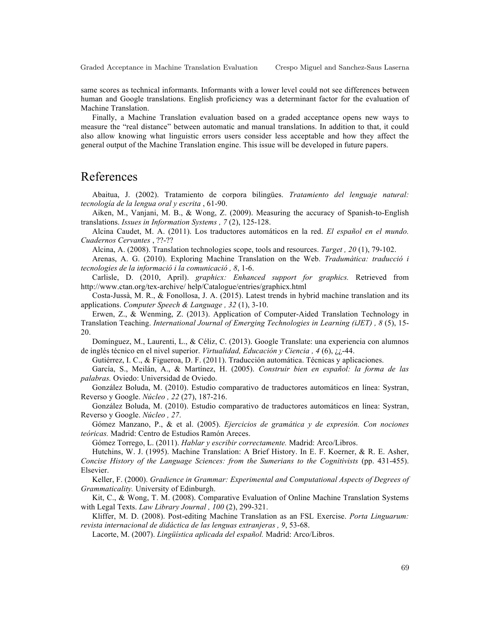same scores as technical informants. Informants with a lower level could not see differences between human and Google translations. English proficiency was a determinant factor for the evaluation of Machine Translation.

Finally, a Machine Translation evaluation based on a graded acceptance opens new ways to measure the "real distance" between automatic and manual translations. In addition to that, it could also allow knowing what linguistic errors users consider less acceptable and how they affect the general output of the Machine Translation engine. This issue will be developed in future papers.

#### References

Abaitua, J. (2002). Tratamiento de corpora bilingües. *Tratamiento del lenguaje natural: tecnología de la lengua oral y escrita* , 61-90.

Aiken, M., Vanjani, M. B., & Wong, Z. (2009). Measuring the accuracy of Spanish-to-English translations. *Issues in Information Systems , 7* (2), 125-128.

Alcina Caudet, M. A. (2011). Los traductores automáticos en la red. *El español en el mundo. Cuadernos Cervantes* , ??-??

Alcina, A. (2008). Translation technologies scope, tools and resources. *Target , 20* (1), 79-102.

Arenas, A. G. (2010). Exploring Machine Translation on the Web. *Tradumàtica: traducció i tecnologies de la informació i la comunicació , 8*, 1-6.

Carlisle, D. (2010, April). *graphicx: Enhanced support for graphics.* Retrieved from http://www.ctan.org/tex-archive/ help/Catalogue/entries/graphicx.html

Costa-Jussà, M. R., & Fonollosa, J. A. (2015). Latest trends in hybrid machine translation and its applications. *Computer Speech & Language , 32* (1), 3-10.

Erwen, Z., & Wenming, Z. (2013). Application of Computer-Aided Translation Technology in Translation Teaching. *International Journal of Emerging Technologies in Learning (iJET) , 8* (5), 15- 20.

Domínguez, M., Laurenti, L., & Céliz, C. (2013). Google Translate: una experiencia con alumnos de inglés técnico en el nivel superior. *Virtualidad, Educación y Ciencia , 4* (6), ¿¿-44.

Gutiérrez, I. C., & Figueroa, D. F. (2011). Traducción automática. Técnicas y aplicaciones.

García, S., Meilán, A., & Martínez, H. (2005). *Construir bien en español: la forma de las palabras.* Oviedo: Universidad de Oviedo.

González Boluda, M. (2010). Estudio comparativo de traductores automáticos en línea: Systran, Reverso y Google. *Núcleo , 22* (27), 187-216.

González Boluda, M. (2010). Estudio comparativo de traductores automáticos en línea: Systran, Reverso y Google. *Núcleo , 27*.

Gómez Manzano, P., & et al. (2005). *Ejercicios de gramática y de expresión. Con nociones teóricas.* Madrid: Centro de Estudios Ramón Areces.

Gómez Torrego, L. (2011). *Hablar y escribir correctamente.* Madrid: Arco/Libros.

Hutchins, W. J. (1995). Machine Translation: A Brief History. In E. F. Koerner, & R. E. Asher, *Concise History of the Language Sciences: from the Sumerians to the Cognitivists* (pp. 431-455). Elsevier.

Keller, F. (2000). *Gradience in Grammar: Experimental and Computational Aspects of Degrees of Grammaticality.* University of Edinburgh.

Kit, C., & Wong, T. M. (2008). Comparative Evaluation of Online Machine Translation Systems with Legal Texts. *Law Library Journal , 100* (2), 299-321.

Kliffer, M. D. (2008). Post-editing Machine Translation as an FSL Exercise. *Porta Linguarum: revista internacional de didáctica de las lenguas extranjeras , 9*, 53-68.

Lacorte, M. (2007). *Lingüística aplicada del español.* Madrid: Arco/Libros.